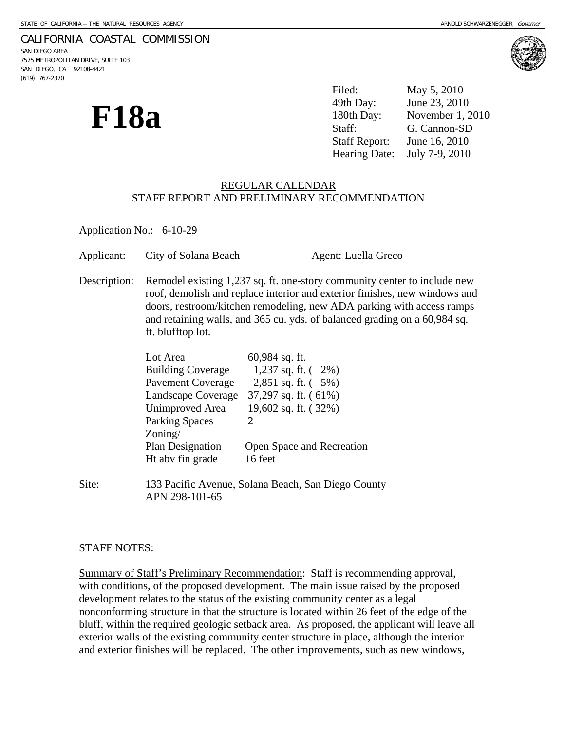### CALIFORNIA COASTAL COMMISSION

SAN DIEGO AREA 7575 METROPOLITAN DRIVE, SUITE 103 SAN DIEGO, CA 92108-4421 (619) 767-2370

| <b>F18a</b> | Filed:               | May 5, 2010                  |
|-------------|----------------------|------------------------------|
|             | 49th Day:            | June 23, 2010                |
|             | 180th Day:           | November 1, 2010             |
|             | Staff:               | G. Cannon-SD                 |
|             | <b>Staff Report:</b> | June 16, 2010                |
|             |                      | Hearing Date: July 7-9, 2010 |

## REGULAR CALENDAR STAFF REPORT AND PRELIMINARY RECOMMENDATION

Application No.: 6-10-29

| Applicant:   | City of Solana Beach                                                                                                                                                                                                                                                                                                              |                                                                            | Agent: Luella Greco |
|--------------|-----------------------------------------------------------------------------------------------------------------------------------------------------------------------------------------------------------------------------------------------------------------------------------------------------------------------------------|----------------------------------------------------------------------------|---------------------|
| Description: | Remodel existing 1,237 sq. ft. one-story community center to include new<br>roof, demolish and replace interior and exterior finishes, new windows and<br>doors, restroom/kitchen remodeling, new ADA parking with access ramps<br>and retaining walls, and 365 cu. yds. of balanced grading on a 60,984 sq.<br>ft. blufftop lot. |                                                                            |                     |
|              | Lot Area<br>Building Coverage 1,237 sq. ft. (2%)<br>Pavement Coverage 2,851 sq. ft. (5%)<br>Landscape Coverage 37,297 sq. ft. (61%)<br>Unimproved Area<br><b>Parking Spaces</b><br>$\text{Zoning}/$                                                                                                                               | $60,984$ sq. ft.<br>19,602 sq. ft. $(32\%)$<br>$\mathcal{D}_{\mathcal{L}}$ |                     |
|              | <b>Plan Designation</b><br>Ht abv fin grade                                                                                                                                                                                                                                                                                       | Open Space and Recreation<br>16 feet                                       |                     |
| Site:        | 133 Pacific Avenue, Solana Beach, San Diego County<br>APN 298-101-65                                                                                                                                                                                                                                                              |                                                                            |                     |

# STAFF NOTES:

l

Summary of Staff's Preliminary Recommendation: Staff is recommending approval, with conditions, of the proposed development. The main issue raised by the proposed development relates to the status of the existing community center as a legal nonconforming structure in that the structure is located within 26 feet of the edge of the bluff, within the required geologic setback area. As proposed, the applicant will leave all exterior walls of the existing community center structure in place, although the interior and exterior finishes will be replaced. The other improvements, such as new windows,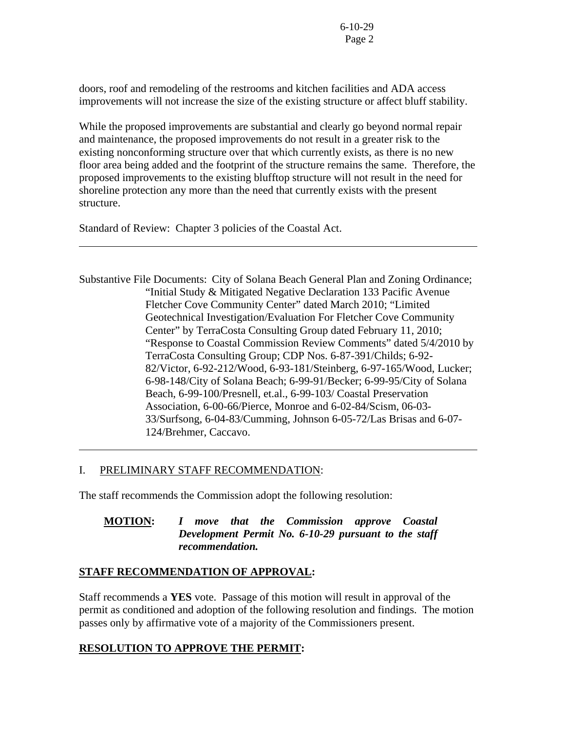doors, roof and remodeling of the restrooms and kitchen facilities and ADA access improvements will not increase the size of the existing structure or affect bluff stability.

While the proposed improvements are substantial and clearly go beyond normal repair and maintenance, the proposed improvements do not result in a greater risk to the existing nonconforming structure over that which currently exists, as there is no new floor area being added and the footprint of the structure remains the same. Therefore, the proposed improvements to the existing blufftop structure will not result in the need for shoreline protection any more than the need that currently exists with the present structure.

Standard of Review: Chapter 3 policies of the Coastal Act.

l

 $\overline{a}$ 

Substantive File Documents: City of Solana Beach General Plan and Zoning Ordinance; "Initial Study & Mitigated Negative Declaration 133 Pacific Avenue Fletcher Cove Community Center" dated March 2010; "Limited Geotechnical Investigation/Evaluation For Fletcher Cove Community Center" by TerraCosta Consulting Group dated February 11, 2010; "Response to Coastal Commission Review Comments" dated 5/4/2010 by TerraCosta Consulting Group; CDP Nos. 6-87-391/Childs; 6-92- 82/Victor, 6-92-212/Wood, 6-93-181/Steinberg, 6-97-165/Wood, Lucker; 6-98-148/City of Solana Beach; 6-99-91/Becker; 6-99-95/City of Solana Beach, 6-99-100/Presnell, et.al., 6-99-103/ Coastal Preservation Association, 6-00-66/Pierce, Monroe and 6-02-84/Scism, 06-03- 33/Surfsong, 6-04-83/Cumming, Johnson 6-05-72/Las Brisas and 6-07- 124/Brehmer, Caccavo.

## I. PRELIMINARY STAFF RECOMMENDATION:

The staff recommends the Commission adopt the following resolution:

# **MOTION:** *I move that the Commission approve Coastal Development Permit No. 6-10-29 pursuant to the staff recommendation.*

## **STAFF RECOMMENDATION OF APPROVAL:**

Staff recommends a **YES** vote. Passage of this motion will result in approval of the permit as conditioned and adoption of the following resolution and findings. The motion passes only by affirmative vote of a majority of the Commissioners present.

# **RESOLUTION TO APPROVE THE PERMIT:**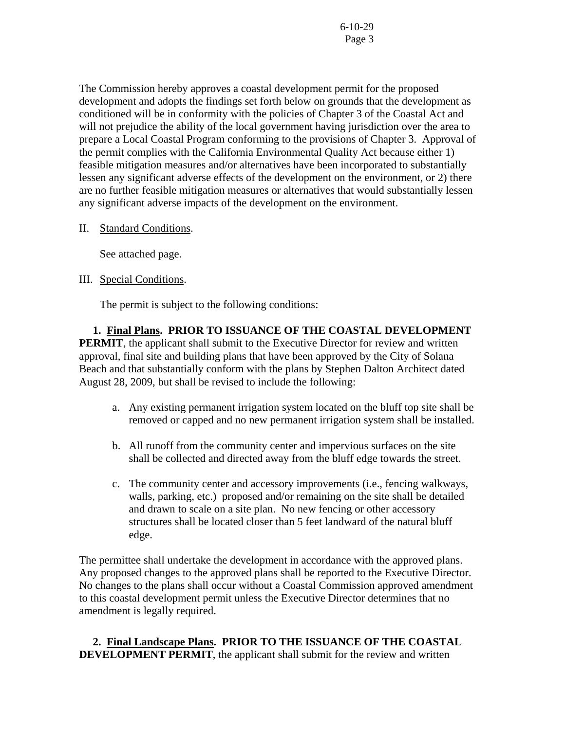The Commission hereby approves a coastal development permit for the proposed development and adopts the findings set forth below on grounds that the development as conditioned will be in conformity with the policies of Chapter 3 of the Coastal Act and will not prejudice the ability of the local government having jurisdiction over the area to prepare a Local Coastal Program conforming to the provisions of Chapter 3. Approval of the permit complies with the California Environmental Quality Act because either 1) feasible mitigation measures and/or alternatives have been incorporated to substantially lessen any significant adverse effects of the development on the environment, or 2) there are no further feasible mitigation measures or alternatives that would substantially lessen any significant adverse impacts of the development on the environment.

II. Standard Conditions.

See attached page.

## III. Special Conditions.

The permit is subject to the following conditions:

 **1. Final Plans. PRIOR TO ISSUANCE OF THE COASTAL DEVELOPMENT PERMIT**, the applicant shall submit to the Executive Director for review and written approval, final site and building plans that have been approved by the City of Solana Beach and that substantially conform with the plans by Stephen Dalton Architect dated August 28, 2009, but shall be revised to include the following:

- a. Any existing permanent irrigation system located on the bluff top site shall be removed or capped and no new permanent irrigation system shall be installed.
- b. All runoff from the community center and impervious surfaces on the site shall be collected and directed away from the bluff edge towards the street.
- c. The community center and accessory improvements (i.e., fencing walkways, walls, parking, etc.) proposed and/or remaining on the site shall be detailed and drawn to scale on a site plan. No new fencing or other accessory structures shall be located closer than 5 feet landward of the natural bluff edge.

The permittee shall undertake the development in accordance with the approved plans. Any proposed changes to the approved plans shall be reported to the Executive Director. No changes to the plans shall occur without a Coastal Commission approved amendment to this coastal development permit unless the Executive Director determines that no amendment is legally required.

 **2. Final Landscape Plans. PRIOR TO THE ISSUANCE OF THE COASTAL DEVELOPMENT PERMIT**, the applicant shall submit for the review and written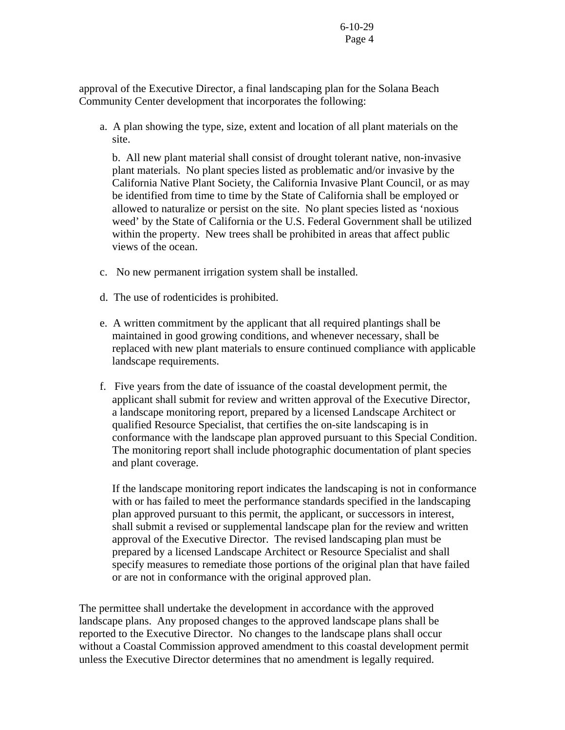approval of the Executive Director, a final landscaping plan for the Solana Beach Community Center development that incorporates the following:

a. A plan showing the type, size, extent and location of all plant materials on the site.

b. All new plant material shall consist of drought tolerant native, non-invasive plant materials. No plant species listed as problematic and/or invasive by the California Native Plant Society, the California Invasive Plant Council, or as may be identified from time to time by the State of California shall be employed or allowed to naturalize or persist on the site. No plant species listed as 'noxious weed' by the State of California or the U.S. Federal Government shall be utilized within the property. New trees shall be prohibited in areas that affect public views of the ocean.

- c. No new permanent irrigation system shall be installed.
- d. The use of rodenticides is prohibited.
- e. A written commitment by the applicant that all required plantings shall be maintained in good growing conditions, and whenever necessary, shall be replaced with new plant materials to ensure continued compliance with applicable landscape requirements.
- f. Five years from the date of issuance of the coastal development permit, the applicant shall submit for review and written approval of the Executive Director, a landscape monitoring report, prepared by a licensed Landscape Architect or qualified Resource Specialist, that certifies the on-site landscaping is in conformance with the landscape plan approved pursuant to this Special Condition. The monitoring report shall include photographic documentation of plant species and plant coverage.

If the landscape monitoring report indicates the landscaping is not in conformance with or has failed to meet the performance standards specified in the landscaping plan approved pursuant to this permit, the applicant, or successors in interest, shall submit a revised or supplemental landscape plan for the review and written approval of the Executive Director. The revised landscaping plan must be prepared by a licensed Landscape Architect or Resource Specialist and shall specify measures to remediate those portions of the original plan that have failed or are not in conformance with the original approved plan.

The permittee shall undertake the development in accordance with the approved landscape plans. Any proposed changes to the approved landscape plans shall be reported to the Executive Director. No changes to the landscape plans shall occur without a Coastal Commission approved amendment to this coastal development permit unless the Executive Director determines that no amendment is legally required.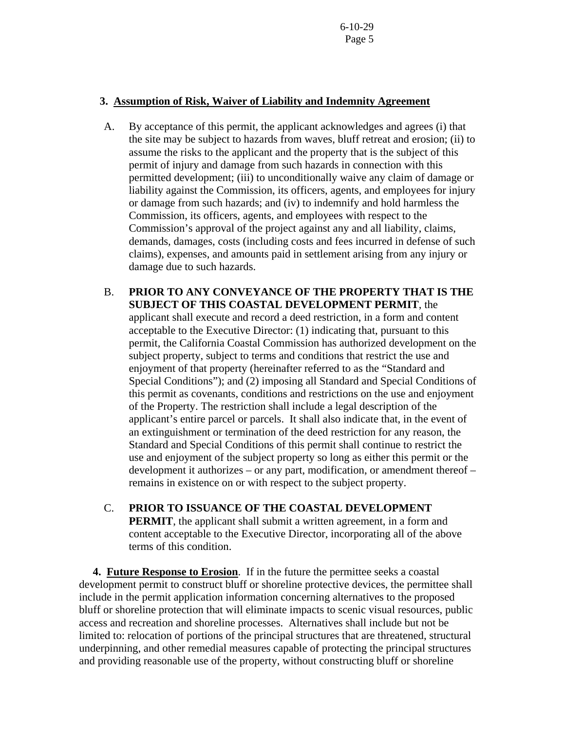## **3. Assumption of Risk, Waiver of Liability and Indemnity Agreement**

- A. By acceptance of this permit, the applicant acknowledges and agrees (i) that the site may be subject to hazards from waves, bluff retreat and erosion; (ii) to assume the risks to the applicant and the property that is the subject of this permit of injury and damage from such hazards in connection with this permitted development; (iii) to unconditionally waive any claim of damage or liability against the Commission, its officers, agents, and employees for injury or damage from such hazards; and (iv) to indemnify and hold harmless the Commission, its officers, agents, and employees with respect to the Commission's approval of the project against any and all liability, claims, demands, damages, costs (including costs and fees incurred in defense of such claims), expenses, and amounts paid in settlement arising from any injury or damage due to such hazards.
- B. **PRIOR TO ANY CONVEYANCE OF THE PROPERTY THAT IS THE SUBJECT OF THIS COASTAL DEVELOPMENT PERMIT**, the applicant shall execute and record a deed restriction, in a form and content acceptable to the Executive Director: (1) indicating that, pursuant to this permit, the California Coastal Commission has authorized development on the subject property, subject to terms and conditions that restrict the use and enjoyment of that property (hereinafter referred to as the "Standard and Special Conditions"); and (2) imposing all Standard and Special Conditions of this permit as covenants, conditions and restrictions on the use and enjoyment of the Property. The restriction shall include a legal description of the applicant's entire parcel or parcels. It shall also indicate that, in the event of an extinguishment or termination of the deed restriction for any reason, the Standard and Special Conditions of this permit shall continue to restrict the use and enjoyment of the subject property so long as either this permit or the development it authorizes – or any part, modification, or amendment thereof – remains in existence on or with respect to the subject property.
- C. **PRIOR TO ISSUANCE OF THE COASTAL DEVELOPMENT PERMIT**, the applicant shall submit a written agreement, in a form and content acceptable to the Executive Director, incorporating all of the above terms of this condition.

 **4. Future Response to Erosion**. If in the future the permittee seeks a coastal development permit to construct bluff or shoreline protective devices, the permittee shall include in the permit application information concerning alternatives to the proposed bluff or shoreline protection that will eliminate impacts to scenic visual resources, public access and recreation and shoreline processes. Alternatives shall include but not be limited to: relocation of portions of the principal structures that are threatened, structural underpinning, and other remedial measures capable of protecting the principal structures and providing reasonable use of the property, without constructing bluff or shoreline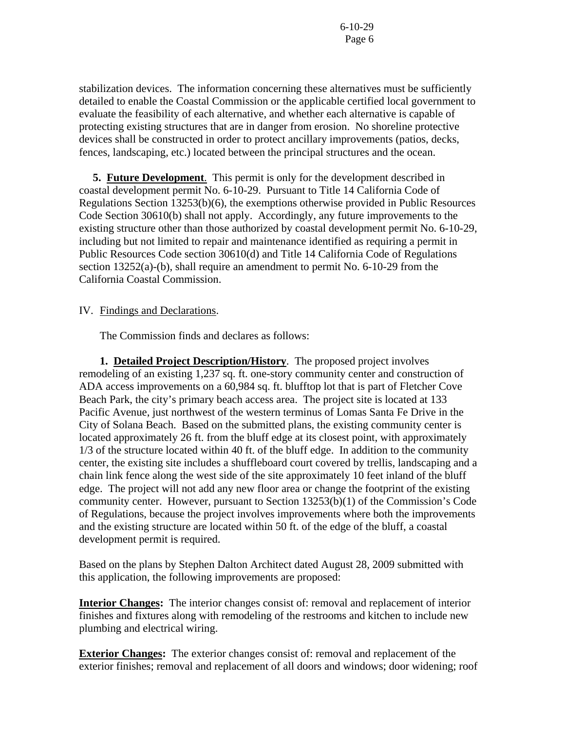stabilization devices. The information concerning these alternatives must be sufficiently detailed to enable the Coastal Commission or the applicable certified local government to evaluate the feasibility of each alternative, and whether each alternative is capable of protecting existing structures that are in danger from erosion. No shoreline protective devices shall be constructed in order to protect ancillary improvements (patios, decks, fences, landscaping, etc.) located between the principal structures and the ocean.

 **5. Future Development**. This permit is only for the development described in coastal development permit No. 6-10-29. Pursuant to Title 14 California Code of Regulations Section 13253(b)(6), the exemptions otherwise provided in Public Resources Code Section 30610(b) shall not apply. Accordingly, any future improvements to the existing structure other than those authorized by coastal development permit No. 6-10-29, including but not limited to repair and maintenance identified as requiring a permit in Public Resources Code section 30610(d) and Title 14 California Code of Regulations section 13252(a)-(b), shall require an amendment to permit No. 6-10-29 from the California Coastal Commission.

### IV. Findings and Declarations.

The Commission finds and declares as follows:

 **1. Detailed Project Description/History**. The proposed project involves remodeling of an existing 1,237 sq. ft. one-story community center and construction of ADA access improvements on a 60,984 sq. ft. blufftop lot that is part of Fletcher Cove Beach Park, the city's primary beach access area. The project site is located at 133 Pacific Avenue, just northwest of the western terminus of Lomas Santa Fe Drive in the City of Solana Beach. Based on the submitted plans, the existing community center is located approximately 26 ft. from the bluff edge at its closest point, with approximately 1/3 of the structure located within 40 ft. of the bluff edge. In addition to the community center, the existing site includes a shuffleboard court covered by trellis, landscaping and a chain link fence along the west side of the site approximately 10 feet inland of the bluff edge. The project will not add any new floor area or change the footprint of the existing community center. However, pursuant to Section 13253(b)(1) of the Commission's Code of Regulations, because the project involves improvements where both the improvements and the existing structure are located within 50 ft. of the edge of the bluff, a coastal development permit is required.

Based on the plans by Stephen Dalton Architect dated August 28, 2009 submitted with this application, the following improvements are proposed:

**Interior Changes:** The interior changes consist of: removal and replacement of interior finishes and fixtures along with remodeling of the restrooms and kitchen to include new plumbing and electrical wiring.

**Exterior Changes:** The exterior changes consist of: removal and replacement of the exterior finishes; removal and replacement of all doors and windows; door widening; roof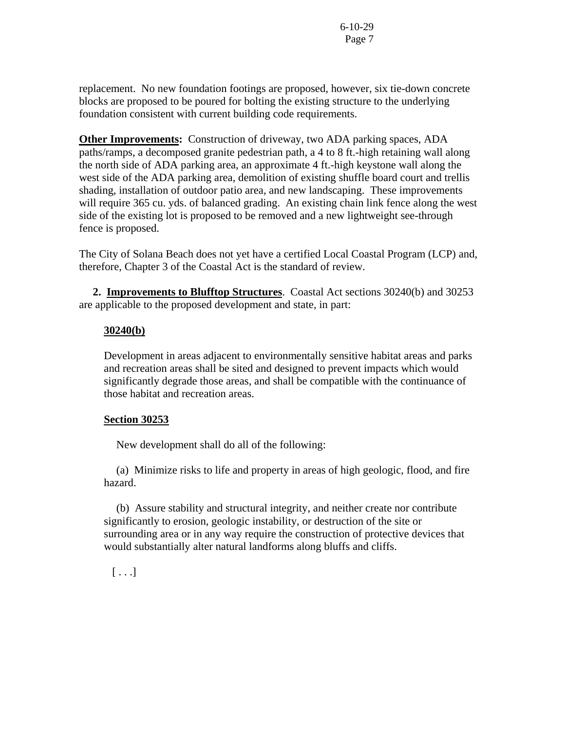replacement. No new foundation footings are proposed, however, six tie-down concrete blocks are proposed to be poured for bolting the existing structure to the underlying foundation consistent with current building code requirements.

**Other Improvements:** Construction of driveway, two ADA parking spaces, ADA paths/ramps, a decomposed granite pedestrian path, a 4 to 8 ft.-high retaining wall along the north side of ADA parking area, an approximate 4 ft.-high keystone wall along the west side of the ADA parking area, demolition of existing shuffle board court and trellis shading, installation of outdoor patio area, and new landscaping. These improvements will require 365 cu. yds. of balanced grading. An existing chain link fence along the west side of the existing lot is proposed to be removed and a new lightweight see-through fence is proposed.

The City of Solana Beach does not yet have a certified Local Coastal Program (LCP) and, therefore, Chapter 3 of the Coastal Act is the standard of review.

 **2. Improvements to Blufftop Structures**. Coastal Act sections 30240(b) and 30253 are applicable to the proposed development and state, in part:

## **30240(b)**

Development in areas adjacent to environmentally sensitive habitat areas and parks and recreation areas shall be sited and designed to prevent impacts which would significantly degrade those areas, and shall be compatible with the continuance of those habitat and recreation areas.

## **Section 30253**

New development shall do all of the following:

 (a) Minimize risks to life and property in areas of high geologic, flood, and fire hazard.

 (b) Assure stability and structural integrity, and neither create nor contribute significantly to erosion, geologic instability, or destruction of the site or surrounding area or in any way require the construction of protective devices that would substantially alter natural landforms along bluffs and cliffs.

 $[ \ldots]$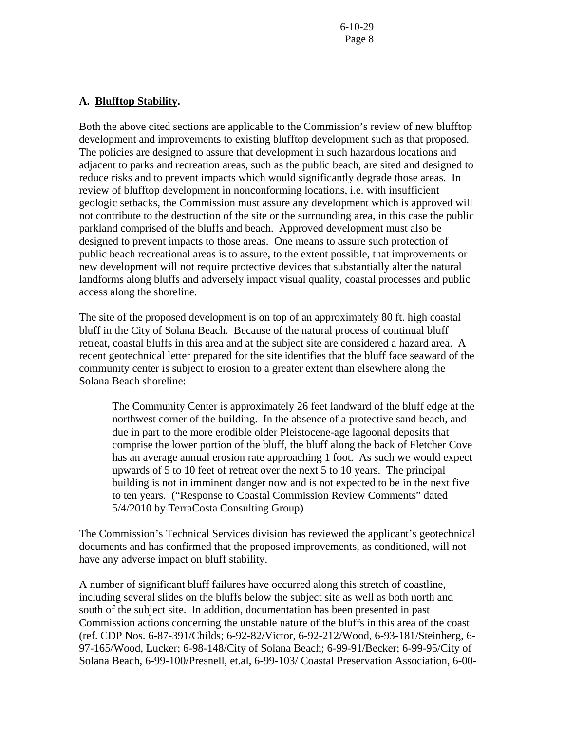## **A. Blufftop Stability.**

Both the above cited sections are applicable to the Commission's review of new blufftop development and improvements to existing blufftop development such as that proposed. The policies are designed to assure that development in such hazardous locations and adjacent to parks and recreation areas, such as the public beach, are sited and designed to reduce risks and to prevent impacts which would significantly degrade those areas. In review of blufftop development in nonconforming locations, i.e. with insufficient geologic setbacks, the Commission must assure any development which is approved will not contribute to the destruction of the site or the surrounding area, in this case the public parkland comprised of the bluffs and beach. Approved development must also be designed to prevent impacts to those areas. One means to assure such protection of public beach recreational areas is to assure, to the extent possible, that improvements or new development will not require protective devices that substantially alter the natural landforms along bluffs and adversely impact visual quality, coastal processes and public access along the shoreline.

The site of the proposed development is on top of an approximately 80 ft. high coastal bluff in the City of Solana Beach. Because of the natural process of continual bluff retreat, coastal bluffs in this area and at the subject site are considered a hazard area. A recent geotechnical letter prepared for the site identifies that the bluff face seaward of the community center is subject to erosion to a greater extent than elsewhere along the Solana Beach shoreline:

The Community Center is approximately 26 feet landward of the bluff edge at the northwest corner of the building. In the absence of a protective sand beach, and due in part to the more erodible older Pleistocene-age lagoonal deposits that comprise the lower portion of the bluff, the bluff along the back of Fletcher Cove has an average annual erosion rate approaching 1 foot. As such we would expect upwards of 5 to 10 feet of retreat over the next 5 to 10 years. The principal building is not in imminent danger now and is not expected to be in the next five to ten years. ("Response to Coastal Commission Review Comments" dated 5/4/2010 by TerraCosta Consulting Group)

The Commission's Technical Services division has reviewed the applicant's geotechnical documents and has confirmed that the proposed improvements, as conditioned, will not have any adverse impact on bluff stability.

A number of significant bluff failures have occurred along this stretch of coastline, including several slides on the bluffs below the subject site as well as both north and south of the subject site. In addition, documentation has been presented in past Commission actions concerning the unstable nature of the bluffs in this area of the coast (ref. CDP Nos. 6-87-391/Childs; 6-92-82/Victor, 6-92-212/Wood, 6-93-181/Steinberg, 6- 97-165/Wood, Lucker; 6-98-148/City of Solana Beach; 6-99-91/Becker; 6-99-95/City of Solana Beach, 6-99-100/Presnell, et.al, 6-99-103/ Coastal Preservation Association, 6-00-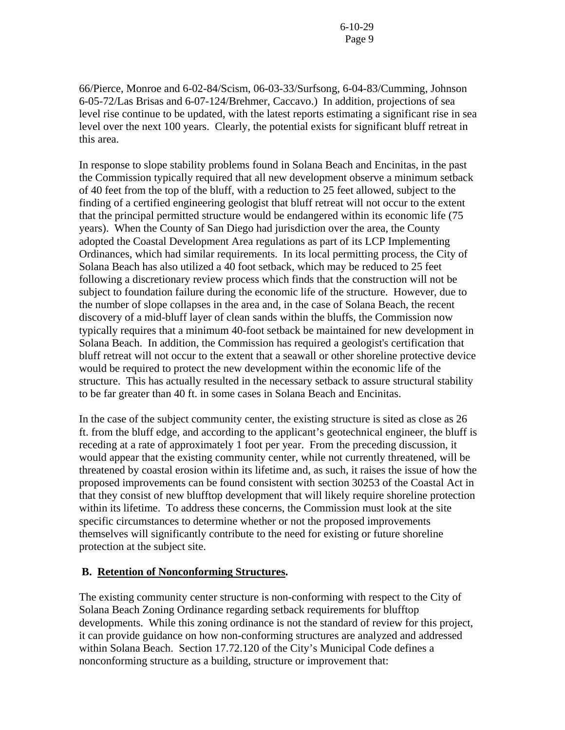66/Pierce, Monroe and 6-02-84/Scism, 06-03-33/Surfsong, 6-04-83/Cumming, Johnson 6-05-72/Las Brisas and 6-07-124/Brehmer, Caccavo.) In addition, projections of sea level rise continue to be updated, with the latest reports estimating a significant rise in sea level over the next 100 years. Clearly, the potential exists for significant bluff retreat in this area.

In response to slope stability problems found in Solana Beach and Encinitas, in the past the Commission typically required that all new development observe a minimum setback of 40 feet from the top of the bluff, with a reduction to 25 feet allowed, subject to the finding of a certified engineering geologist that bluff retreat will not occur to the extent that the principal permitted structure would be endangered within its economic life (75 years). When the County of San Diego had jurisdiction over the area, the County adopted the Coastal Development Area regulations as part of its LCP Implementing Ordinances, which had similar requirements. In its local permitting process, the City of Solana Beach has also utilized a 40 foot setback, which may be reduced to 25 feet following a discretionary review process which finds that the construction will not be subject to foundation failure during the economic life of the structure. However, due to the number of slope collapses in the area and, in the case of Solana Beach, the recent discovery of a mid-bluff layer of clean sands within the bluffs, the Commission now typically requires that a minimum 40-foot setback be maintained for new development in Solana Beach. In addition, the Commission has required a geologist's certification that bluff retreat will not occur to the extent that a seawall or other shoreline protective device would be required to protect the new development within the economic life of the structure. This has actually resulted in the necessary setback to assure structural stability to be far greater than 40 ft. in some cases in Solana Beach and Encinitas.

In the case of the subject community center, the existing structure is sited as close as 26 ft. from the bluff edge, and according to the applicant's geotechnical engineer, the bluff is receding at a rate of approximately 1 foot per year. From the preceding discussion, it would appear that the existing community center, while not currently threatened, will be threatened by coastal erosion within its lifetime and, as such, it raises the issue of how the proposed improvements can be found consistent with section 30253 of the Coastal Act in that they consist of new blufftop development that will likely require shoreline protection within its lifetime. To address these concerns, the Commission must look at the site specific circumstances to determine whether or not the proposed improvements themselves will significantly contribute to the need for existing or future shoreline protection at the subject site.

### **B. Retention of Nonconforming Structures.**

The existing community center structure is non-conforming with respect to the City of Solana Beach Zoning Ordinance regarding setback requirements for blufftop developments. While this zoning ordinance is not the standard of review for this project, it can provide guidance on how non-conforming structures are analyzed and addressed within Solana Beach. Section 17.72.120 of the City's Municipal Code defines a nonconforming structure as a building, structure or improvement that: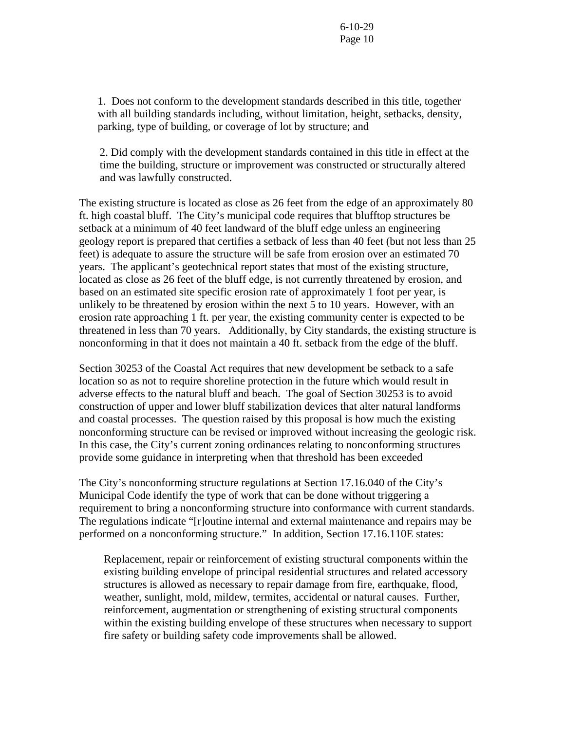1. Does not conform to the development standards described in this title, together with all building standards including, without limitation, height, setbacks, density, parking, type of building, or coverage of lot by structure; and

2. Did comply with the development standards contained in this title in effect at the time the building, structure or improvement was constructed or structurally altered and was lawfully constructed.

The existing structure is located as close as 26 feet from the edge of an approximately 80 ft. high coastal bluff. The City's municipal code requires that blufftop structures be setback at a minimum of 40 feet landward of the bluff edge unless an engineering geology report is prepared that certifies a setback of less than 40 feet (but not less than 25 feet) is adequate to assure the structure will be safe from erosion over an estimated 70 years. The applicant's geotechnical report states that most of the existing structure, located as close as 26 feet of the bluff edge, is not currently threatened by erosion, and based on an estimated site specific erosion rate of approximately 1 foot per year, is unlikely to be threatened by erosion within the next 5 to 10 years. However, with an erosion rate approaching 1 ft. per year, the existing community center is expected to be threatened in less than 70 years. Additionally, by City standards, the existing structure is nonconforming in that it does not maintain a 40 ft. setback from the edge of the bluff.

Section 30253 of the Coastal Act requires that new development be setback to a safe location so as not to require shoreline protection in the future which would result in adverse effects to the natural bluff and beach. The goal of Section 30253 is to avoid construction of upper and lower bluff stabilization devices that alter natural landforms and coastal processes. The question raised by this proposal is how much the existing nonconforming structure can be revised or improved without increasing the geologic risk. In this case, the City's current zoning ordinances relating to nonconforming structures provide some guidance in interpreting when that threshold has been exceeded

The City's nonconforming structure regulations at Section 17.16.040 of the City's Municipal Code identify the type of work that can be done without triggering a requirement to bring a nonconforming structure into conformance with current standards. The regulations indicate "[r]outine internal and external maintenance and repairs may be performed on a nonconforming structure." In addition, Section 17.16.110E states:

Replacement, repair or reinforcement of existing structural components within the existing building envelope of principal residential structures and related accessory structures is allowed as necessary to repair damage from fire, earthquake, flood, weather, sunlight, mold, mildew, termites, accidental or natural causes. Further, reinforcement, augmentation or strengthening of existing structural components within the existing building envelope of these structures when necessary to support fire safety or building safety code improvements shall be allowed.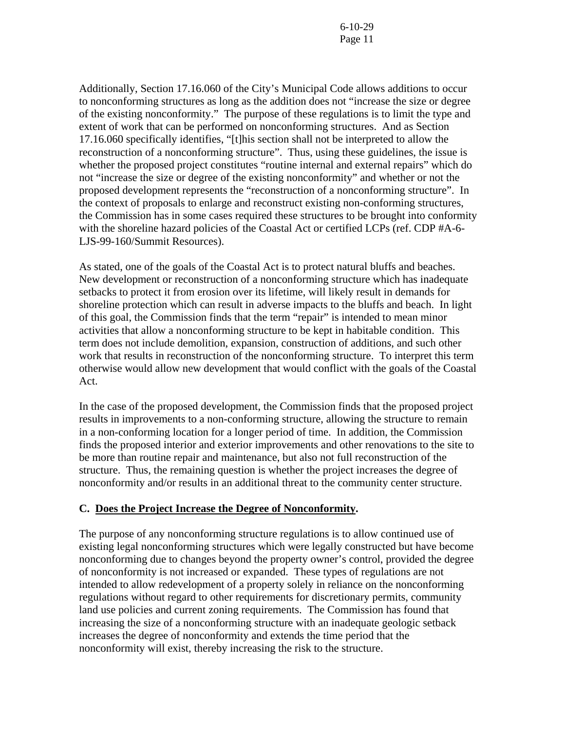Additionally, Section 17.16.060 of the City's Municipal Code allows additions to occur to nonconforming structures as long as the addition does not "increase the size or degree of the existing nonconformity." The purpose of these regulations is to limit the type and extent of work that can be performed on nonconforming structures. And as Section 17.16.060 specifically identifies, "[t]his section shall not be interpreted to allow the reconstruction of a nonconforming structure". Thus, using these guidelines, the issue is whether the proposed project constitutes "routine internal and external repairs" which do not "increase the size or degree of the existing nonconformity" and whether or not the proposed development represents the "reconstruction of a nonconforming structure". In the context of proposals to enlarge and reconstruct existing non-conforming structures, the Commission has in some cases required these structures to be brought into conformity with the shoreline hazard policies of the Coastal Act or certified LCPs (ref. CDP #A-6- LJS-99-160/Summit Resources).

As stated, one of the goals of the Coastal Act is to protect natural bluffs and beaches. New development or reconstruction of a nonconforming structure which has inadequate setbacks to protect it from erosion over its lifetime, will likely result in demands for shoreline protection which can result in adverse impacts to the bluffs and beach. In light of this goal, the Commission finds that the term "repair" is intended to mean minor activities that allow a nonconforming structure to be kept in habitable condition. This term does not include demolition, expansion, construction of additions, and such other work that results in reconstruction of the nonconforming structure. To interpret this term otherwise would allow new development that would conflict with the goals of the Coastal Act.

In the case of the proposed development, the Commission finds that the proposed project results in improvements to a non-conforming structure, allowing the structure to remain in a non-conforming location for a longer period of time. In addition, the Commission finds the proposed interior and exterior improvements and other renovations to the site to be more than routine repair and maintenance, but also not full reconstruction of the structure. Thus, the remaining question is whether the project increases the degree of nonconformity and/or results in an additional threat to the community center structure.

## **C. Does the Project Increase the Degree of Nonconformity.**

The purpose of any nonconforming structure regulations is to allow continued use of existing legal nonconforming structures which were legally constructed but have become nonconforming due to changes beyond the property owner's control, provided the degree of nonconformity is not increased or expanded. These types of regulations are not intended to allow redevelopment of a property solely in reliance on the nonconforming regulations without regard to other requirements for discretionary permits, community land use policies and current zoning requirements. The Commission has found that increasing the size of a nonconforming structure with an inadequate geologic setback increases the degree of nonconformity and extends the time period that the nonconformity will exist, thereby increasing the risk to the structure.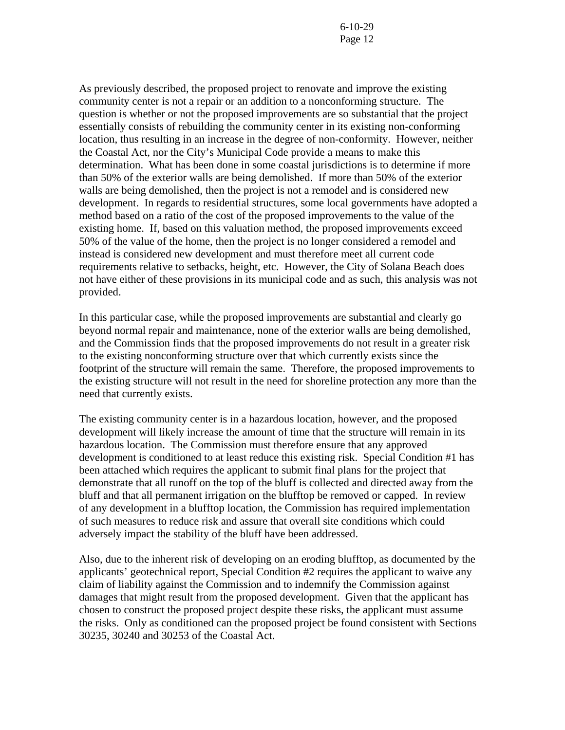As previously described, the proposed project to renovate and improve the existing community center is not a repair or an addition to a nonconforming structure. The question is whether or not the proposed improvements are so substantial that the project essentially consists of rebuilding the community center in its existing non-conforming location, thus resulting in an increase in the degree of non-conformity. However, neither the Coastal Act, nor the City's Municipal Code provide a means to make this determination. What has been done in some coastal jurisdictions is to determine if more than 50% of the exterior walls are being demolished. If more than 50% of the exterior walls are being demolished, then the project is not a remodel and is considered new development. In regards to residential structures, some local governments have adopted a method based on a ratio of the cost of the proposed improvements to the value of the existing home. If, based on this valuation method, the proposed improvements exceed 50% of the value of the home, then the project is no longer considered a remodel and instead is considered new development and must therefore meet all current code requirements relative to setbacks, height, etc. However, the City of Solana Beach does not have either of these provisions in its municipal code and as such, this analysis was not provided.

In this particular case, while the proposed improvements are substantial and clearly go beyond normal repair and maintenance, none of the exterior walls are being demolished, and the Commission finds that the proposed improvements do not result in a greater risk to the existing nonconforming structure over that which currently exists since the footprint of the structure will remain the same. Therefore, the proposed improvements to the existing structure will not result in the need for shoreline protection any more than the need that currently exists.

The existing community center is in a hazardous location, however, and the proposed development will likely increase the amount of time that the structure will remain in its hazardous location. The Commission must therefore ensure that any approved development is conditioned to at least reduce this existing risk. Special Condition #1 has been attached which requires the applicant to submit final plans for the project that demonstrate that all runoff on the top of the bluff is collected and directed away from the bluff and that all permanent irrigation on the blufftop be removed or capped. In review of any development in a blufftop location, the Commission has required implementation of such measures to reduce risk and assure that overall site conditions which could adversely impact the stability of the bluff have been addressed.

Also, due to the inherent risk of developing on an eroding blufftop, as documented by the applicants' geotechnical report, Special Condition #2 requires the applicant to waive any claim of liability against the Commission and to indemnify the Commission against damages that might result from the proposed development. Given that the applicant has chosen to construct the proposed project despite these risks, the applicant must assume the risks. Only as conditioned can the proposed project be found consistent with Sections 30235, 30240 and 30253 of the Coastal Act.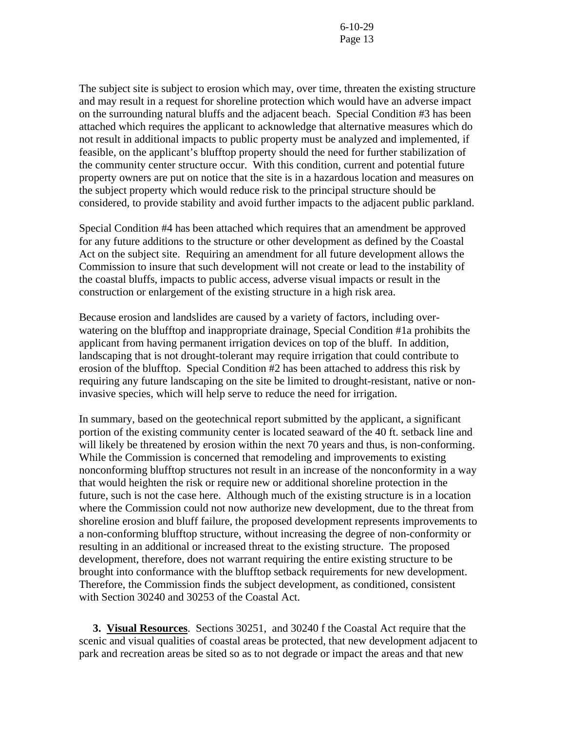The subject site is subject to erosion which may, over time, threaten the existing structure and may result in a request for shoreline protection which would have an adverse impact on the surrounding natural bluffs and the adjacent beach. Special Condition #3 has been attached which requires the applicant to acknowledge that alternative measures which do not result in additional impacts to public property must be analyzed and implemented, if feasible, on the applicant's blufftop property should the need for further stabilization of the community center structure occur. With this condition, current and potential future property owners are put on notice that the site is in a hazardous location and measures on the subject property which would reduce risk to the principal structure should be considered, to provide stability and avoid further impacts to the adjacent public parkland.

Special Condition #4 has been attached which requires that an amendment be approved for any future additions to the structure or other development as defined by the Coastal Act on the subject site. Requiring an amendment for all future development allows the Commission to insure that such development will not create or lead to the instability of the coastal bluffs, impacts to public access, adverse visual impacts or result in the construction or enlargement of the existing structure in a high risk area.

Because erosion and landslides are caused by a variety of factors, including overwatering on the blufftop and inappropriate drainage, Special Condition #1a prohibits the applicant from having permanent irrigation devices on top of the bluff. In addition, landscaping that is not drought-tolerant may require irrigation that could contribute to erosion of the blufftop. Special Condition #2 has been attached to address this risk by requiring any future landscaping on the site be limited to drought-resistant, native or noninvasive species, which will help serve to reduce the need for irrigation.

In summary, based on the geotechnical report submitted by the applicant, a significant portion of the existing community center is located seaward of the 40 ft. setback line and will likely be threatened by erosion within the next 70 years and thus, is non-conforming. While the Commission is concerned that remodeling and improvements to existing nonconforming blufftop structures not result in an increase of the nonconformity in a way that would heighten the risk or require new or additional shoreline protection in the future, such is not the case here. Although much of the existing structure is in a location where the Commission could not now authorize new development, due to the threat from shoreline erosion and bluff failure, the proposed development represents improvements to a non-conforming blufftop structure, without increasing the degree of non-conformity or resulting in an additional or increased threat to the existing structure. The proposed development, therefore, does not warrant requiring the entire existing structure to be brought into conformance with the blufftop setback requirements for new development. Therefore, the Commission finds the subject development, as conditioned, consistent with Section 30240 and 30253 of the Coastal Act.

 **3. Visual Resources**. Sections 30251, and 30240 f the Coastal Act require that the scenic and visual qualities of coastal areas be protected, that new development adjacent to park and recreation areas be sited so as to not degrade or impact the areas and that new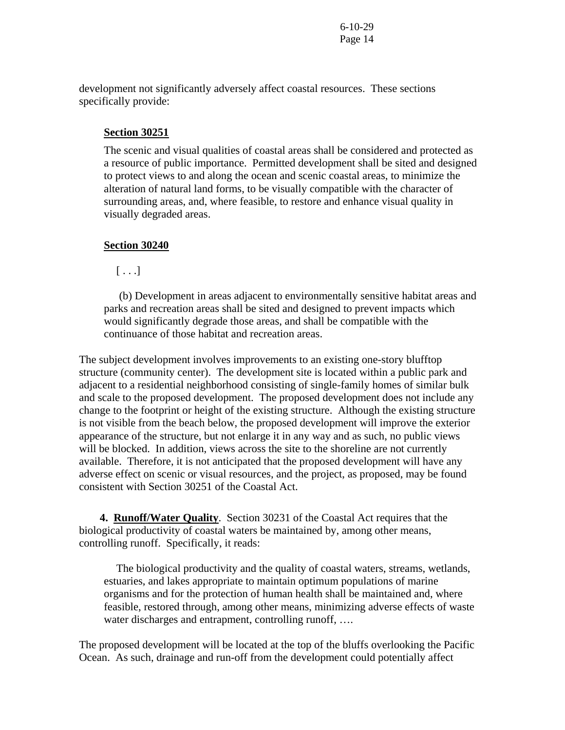development not significantly adversely affect coastal resources. These sections specifically provide:

### **Section 30251**

The scenic and visual qualities of coastal areas shall be considered and protected as a resource of public importance. Permitted development shall be sited and designed to protect views to and along the ocean and scenic coastal areas, to minimize the alteration of natural land forms, to be visually compatible with the character of surrounding areas, and, where feasible, to restore and enhance visual quality in visually degraded areas.

### **Section 30240**

 $[\ldots]$ 

 (b) Development in areas adjacent to environmentally sensitive habitat areas and parks and recreation areas shall be sited and designed to prevent impacts which would significantly degrade those areas, and shall be compatible with the continuance of those habitat and recreation areas.

The subject development involves improvements to an existing one-story blufftop structure (community center). The development site is located within a public park and adjacent to a residential neighborhood consisting of single-family homes of similar bulk and scale to the proposed development. The proposed development does not include any change to the footprint or height of the existing structure. Although the existing structure is not visible from the beach below, the proposed development will improve the exterior appearance of the structure, but not enlarge it in any way and as such, no public views will be blocked. In addition, views across the site to the shoreline are not currently available. Therefore, it is not anticipated that the proposed development will have any adverse effect on scenic or visual resources, and the project, as proposed, may be found consistent with Section 30251 of the Coastal Act.

**4. Runoff/Water Quality**. Section 30231 of the Coastal Act requires that the biological productivity of coastal waters be maintained by, among other means, controlling runoff. Specifically, it reads:

 The biological productivity and the quality of coastal waters, streams, wetlands, estuaries, and lakes appropriate to maintain optimum populations of marine organisms and for the protection of human health shall be maintained and, where feasible, restored through, among other means, minimizing adverse effects of waste water discharges and entrapment, controlling runoff, ....

The proposed development will be located at the top of the bluffs overlooking the Pacific Ocean. As such, drainage and run-off from the development could potentially affect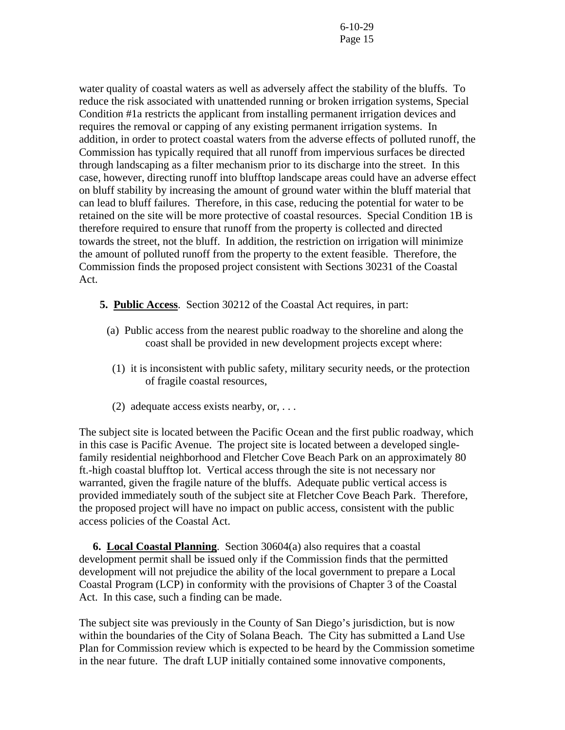water quality of coastal waters as well as adversely affect the stability of the bluffs. To reduce the risk associated with unattended running or broken irrigation systems, Special Condition #1a restricts the applicant from installing permanent irrigation devices and requires the removal or capping of any existing permanent irrigation systems. In addition, in order to protect coastal waters from the adverse effects of polluted runoff, the Commission has typically required that all runoff from impervious surfaces be directed through landscaping as a filter mechanism prior to its discharge into the street. In this case, however, directing runoff into blufftop landscape areas could have an adverse effect on bluff stability by increasing the amount of ground water within the bluff material that can lead to bluff failures. Therefore, in this case, reducing the potential for water to be retained on the site will be more protective of coastal resources. Special Condition 1B is therefore required to ensure that runoff from the property is collected and directed towards the street, not the bluff. In addition, the restriction on irrigation will minimize the amount of polluted runoff from the property to the extent feasible. Therefore, the Commission finds the proposed project consistent with Sections 30231 of the Coastal Act.

- **5. Public Access**. Section 30212 of the Coastal Act requires, in part:
	- (a) Public access from the nearest public roadway to the shoreline and along the coast shall be provided in new development projects except where:
	- (1) it is inconsistent with public safety, military security needs, or the protection of fragile coastal resources,
	- (2) adequate access exists nearby, or,  $\dots$

The subject site is located between the Pacific Ocean and the first public roadway, which in this case is Pacific Avenue. The project site is located between a developed singlefamily residential neighborhood and Fletcher Cove Beach Park on an approximately 80 ft.-high coastal blufftop lot. Vertical access through the site is not necessary nor warranted, given the fragile nature of the bluffs. Adequate public vertical access is provided immediately south of the subject site at Fletcher Cove Beach Park. Therefore, the proposed project will have no impact on public access, consistent with the public access policies of the Coastal Act.

 **6. Local Coastal Planning**. Section 30604(a) also requires that a coastal development permit shall be issued only if the Commission finds that the permitted development will not prejudice the ability of the local government to prepare a Local Coastal Program (LCP) in conformity with the provisions of Chapter 3 of the Coastal Act. In this case, such a finding can be made.

The subject site was previously in the County of San Diego's jurisdiction, but is now within the boundaries of the City of Solana Beach. The City has submitted a Land Use Plan for Commission review which is expected to be heard by the Commission sometime in the near future. The draft LUP initially contained some innovative components,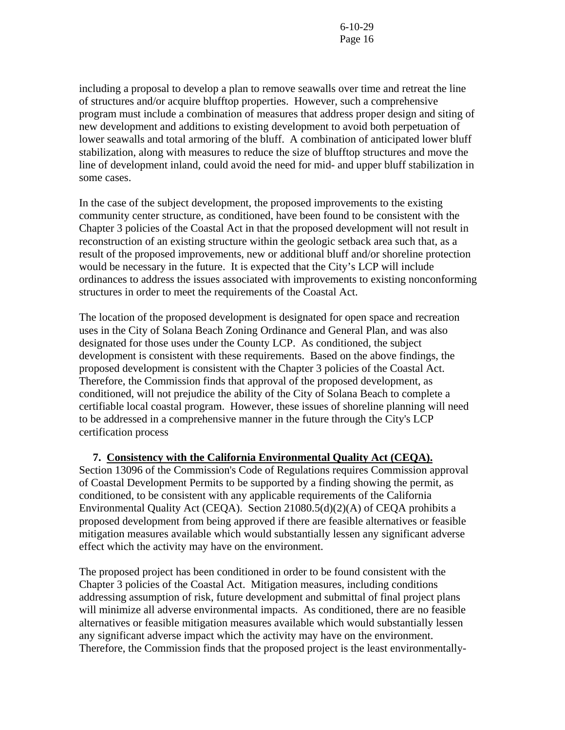including a proposal to develop a plan to remove seawalls over time and retreat the line of structures and/or acquire blufftop properties. However, such a comprehensive program must include a combination of measures that address proper design and siting of new development and additions to existing development to avoid both perpetuation of lower seawalls and total armoring of the bluff. A combination of anticipated lower bluff stabilization, along with measures to reduce the size of blufftop structures and move the line of development inland, could avoid the need for mid- and upper bluff stabilization in some cases.

In the case of the subject development, the proposed improvements to the existing community center structure, as conditioned, have been found to be consistent with the Chapter 3 policies of the Coastal Act in that the proposed development will not result in reconstruction of an existing structure within the geologic setback area such that, as a result of the proposed improvements, new or additional bluff and/or shoreline protection would be necessary in the future. It is expected that the City's LCP will include ordinances to address the issues associated with improvements to existing nonconforming structures in order to meet the requirements of the Coastal Act.

The location of the proposed development is designated for open space and recreation uses in the City of Solana Beach Zoning Ordinance and General Plan, and was also designated for those uses under the County LCP. As conditioned, the subject development is consistent with these requirements. Based on the above findings, the proposed development is consistent with the Chapter 3 policies of the Coastal Act. Therefore, the Commission finds that approval of the proposed development, as conditioned, will not prejudice the ability of the City of Solana Beach to complete a certifiable local coastal program. However, these issues of shoreline planning will need to be addressed in a comprehensive manner in the future through the City's LCP certification process

 **7. Consistency with the California Environmental Quality Act (CEQA).** Section 13096 of the Commission's Code of Regulations requires Commission approval of Coastal Development Permits to be supported by a finding showing the permit, as conditioned, to be consistent with any applicable requirements of the California Environmental Quality Act (CEQA). Section 21080.5(d)(2)(A) of CEQA prohibits a proposed development from being approved if there are feasible alternatives or feasible mitigation measures available which would substantially lessen any significant adverse effect which the activity may have on the environment.

The proposed project has been conditioned in order to be found consistent with the Chapter 3 policies of the Coastal Act. Mitigation measures, including conditions addressing assumption of risk, future development and submittal of final project plans will minimize all adverse environmental impacts. As conditioned, there are no feasible alternatives or feasible mitigation measures available which would substantially lessen any significant adverse impact which the activity may have on the environment. Therefore, the Commission finds that the proposed project is the least environmentally-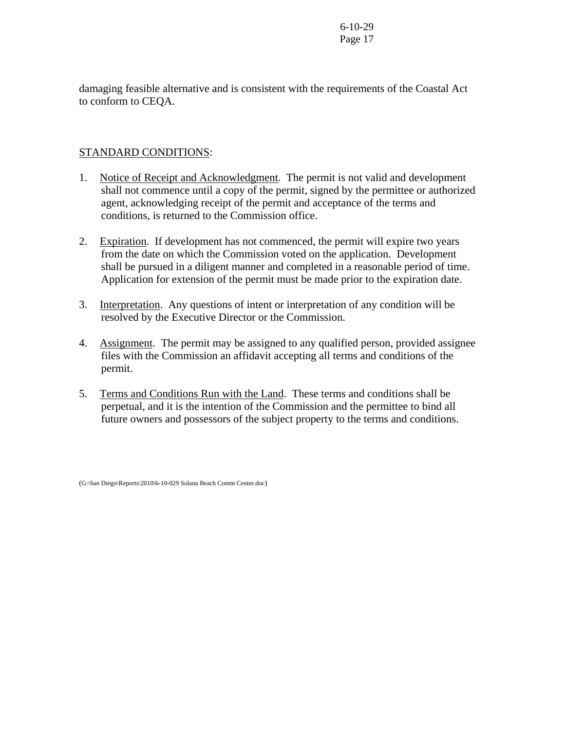damaging feasible alternative and is consistent with the requirements of the Coastal Act to conform to CEQA.

# STANDARD CONDITIONS:

- 1. Notice of Receipt and Acknowledgment. The permit is not valid and development shall not commence until a copy of the permit, signed by the permittee or authorized agent, acknowledging receipt of the permit and acceptance of the terms and conditions, is returned to the Commission office.
- 2. Expiration. If development has not commenced, the permit will expire two years from the date on which the Commission voted on the application. Development shall be pursued in a diligent manner and completed in a reasonable period of time. Application for extension of the permit must be made prior to the expiration date.
- 3. Interpretation. Any questions of intent or interpretation of any condition will be resolved by the Executive Director or the Commission.
- 4. Assignment. The permit may be assigned to any qualified person, provided assignee files with the Commission an affidavit accepting all terms and conditions of the permit.
- 5. Terms and Conditions Run with the Land. These terms and conditions shall be perpetual, and it is the intention of the Commission and the permittee to bind all future owners and possessors of the subject property to the terms and conditions.

(G:\San Diego\Reports\2010\6-10-029 Solana Beach Comm Center.doc)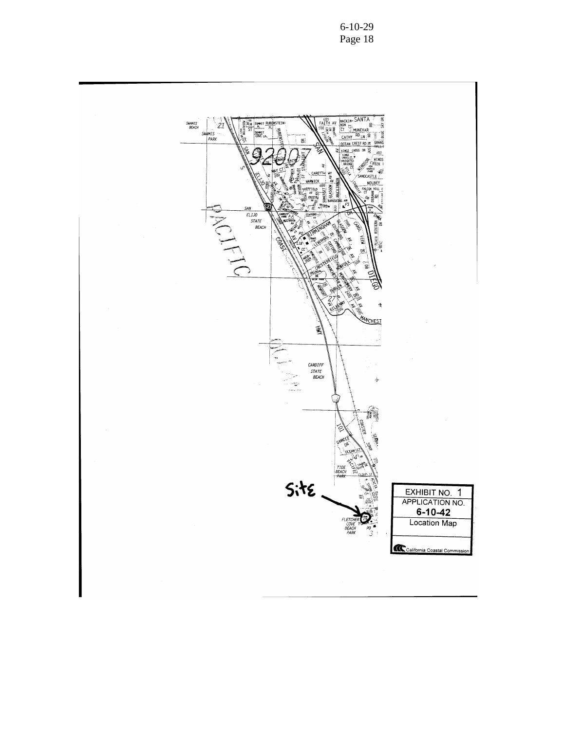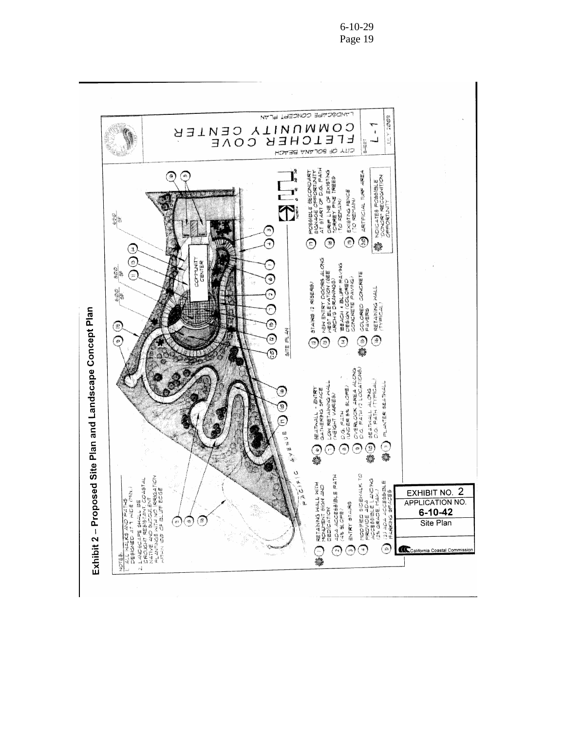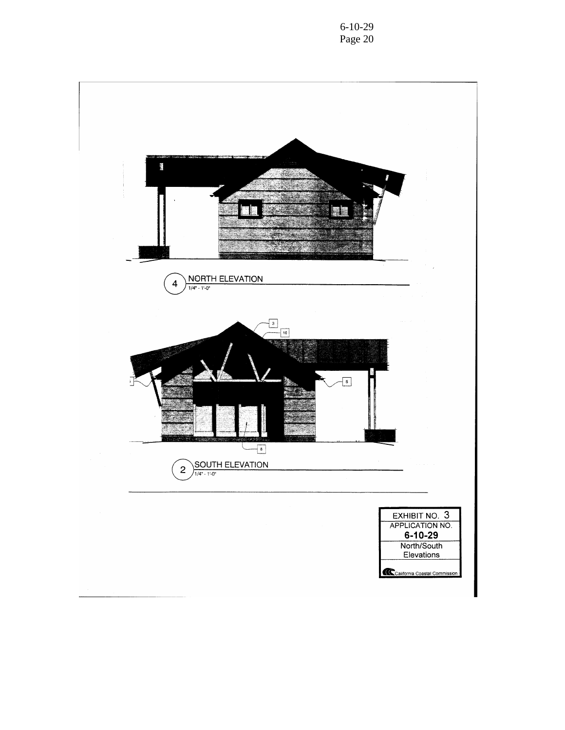